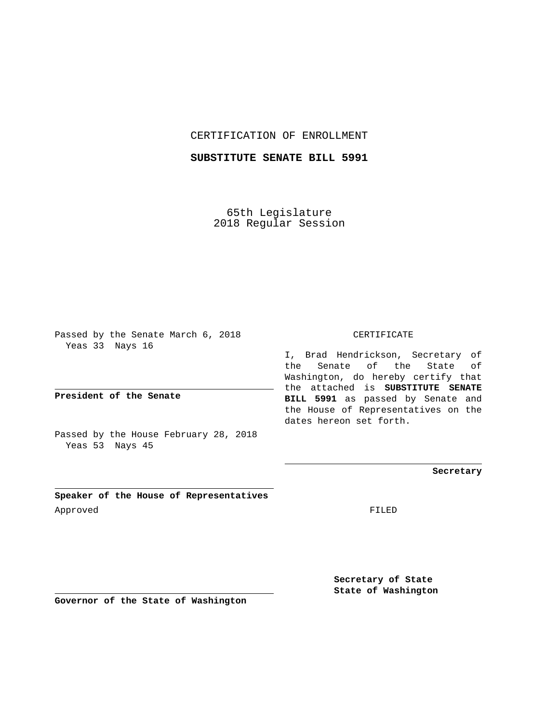CERTIFICATION OF ENROLLMENT

**SUBSTITUTE SENATE BILL 5991**

65th Legislature 2018 Regular Session

Passed by the Senate March 6, 2018 Yeas 33 Nays 16

**President of the Senate**

Passed by the House February 28, 2018 Yeas 53 Nays 45

CERTIFICATE

I, Brad Hendrickson, Secretary of the Senate of the State of Washington, do hereby certify that the attached is **SUBSTITUTE SENATE BILL 5991** as passed by Senate and the House of Representatives on the dates hereon set forth.

**Secretary**

**Speaker of the House of Representatives** Approved FILED

**Secretary of State State of Washington**

**Governor of the State of Washington**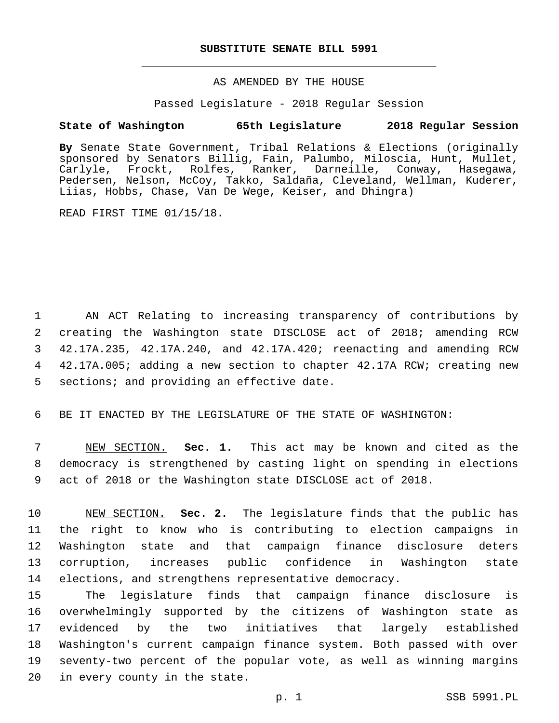## **SUBSTITUTE SENATE BILL 5991**

AS AMENDED BY THE HOUSE

Passed Legislature - 2018 Regular Session

## **State of Washington 65th Legislature 2018 Regular Session**

**By** Senate State Government, Tribal Relations & Elections (originally sponsored by Senators Billig, Fain, Palumbo, Miloscia, Hunt, Mullet, Carlyle, Frockt, Rolfes, Ranker, Darneille, Conway, Hasegawa, Pedersen, Nelson, McCoy, Takko, Saldaña, Cleveland, Wellman, Kuderer, Liias, Hobbs, Chase, Van De Wege, Keiser, and Dhingra)

READ FIRST TIME 01/15/18.

 AN ACT Relating to increasing transparency of contributions by creating the Washington state DISCLOSE act of 2018; amending RCW 42.17A.235, 42.17A.240, and 42.17A.420; reenacting and amending RCW 42.17A.005; adding a new section to chapter 42.17A RCW; creating new 5 sections; and providing an effective date.

6 BE IT ENACTED BY THE LEGISLATURE OF THE STATE OF WASHINGTON:

7 NEW SECTION. **Sec. 1.** This act may be known and cited as the 8 democracy is strengthened by casting light on spending in elections 9 act of 2018 or the Washington state DISCLOSE act of 2018.

 NEW SECTION. **Sec. 2.** The legislature finds that the public has the right to know who is contributing to election campaigns in Washington state and that campaign finance disclosure deters corruption, increases public confidence in Washington state elections, and strengthens representative democracy.

 The legislature finds that campaign finance disclosure is overwhelmingly supported by the citizens of Washington state as evidenced by the two initiatives that largely established Washington's current campaign finance system. Both passed with over seventy-two percent of the popular vote, as well as winning margins 20 in every county in the state.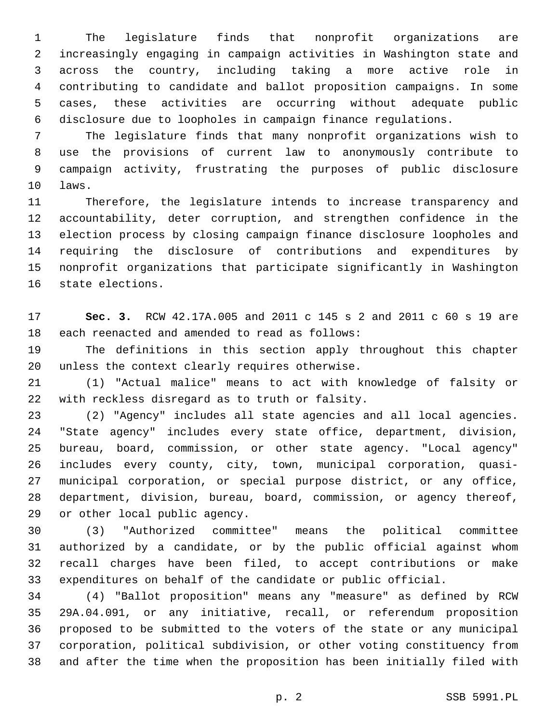The legislature finds that nonprofit organizations are increasingly engaging in campaign activities in Washington state and across the country, including taking a more active role in contributing to candidate and ballot proposition campaigns. In some cases, these activities are occurring without adequate public disclosure due to loopholes in campaign finance regulations.

 The legislature finds that many nonprofit organizations wish to use the provisions of current law to anonymously contribute to campaign activity, frustrating the purposes of public disclosure 10 laws.

 Therefore, the legislature intends to increase transparency and accountability, deter corruption, and strengthen confidence in the election process by closing campaign finance disclosure loopholes and requiring the disclosure of contributions and expenditures by nonprofit organizations that participate significantly in Washington 16 state elections.

 **Sec. 3.** RCW 42.17A.005 and 2011 c 145 s 2 and 2011 c 60 s 19 are 18 each reenacted and amended to read as follows:

 The definitions in this section apply throughout this chapter 20 unless the context clearly requires otherwise.

 (1) "Actual malice" means to act with knowledge of falsity or 22 with reckless disregard as to truth or falsity.

 (2) "Agency" includes all state agencies and all local agencies. "State agency" includes every state office, department, division, bureau, board, commission, or other state agency. "Local agency" includes every county, city, town, municipal corporation, quasi- municipal corporation, or special purpose district, or any office, department, division, bureau, board, commission, or agency thereof, 29 or other local public agency.

 (3) "Authorized committee" means the political committee authorized by a candidate, or by the public official against whom recall charges have been filed, to accept contributions or make expenditures on behalf of the candidate or public official.

 (4) "Ballot proposition" means any "measure" as defined by RCW 29A.04.091, or any initiative, recall, or referendum proposition proposed to be submitted to the voters of the state or any municipal corporation, political subdivision, or other voting constituency from and after the time when the proposition has been initially filed with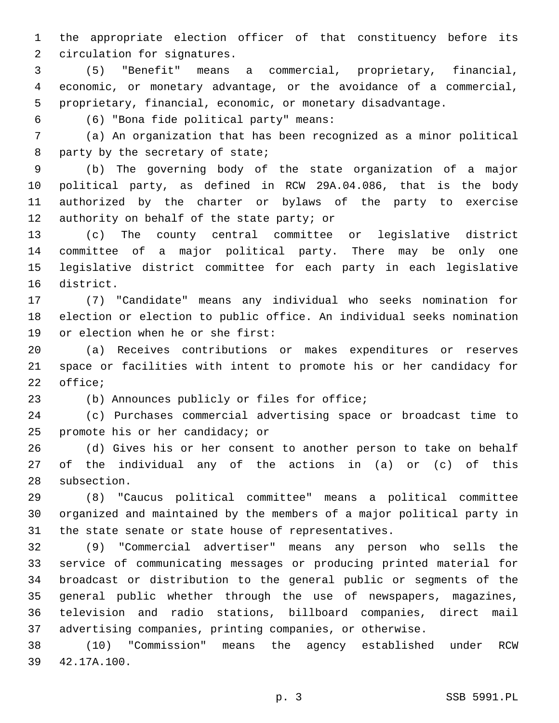the appropriate election officer of that constituency before its 2 circulation for signatures.

 (5) "Benefit" means a commercial, proprietary, financial, economic, or monetary advantage, or the avoidance of a commercial, proprietary, financial, economic, or monetary disadvantage.

(6) "Bona fide political party" means:6

 (a) An organization that has been recognized as a minor political 8 party by the secretary of state;

 (b) The governing body of the state organization of a major political party, as defined in RCW 29A.04.086, that is the body authorized by the charter or bylaws of the party to exercise 12 authority on behalf of the state party; or

 (c) The county central committee or legislative district committee of a major political party. There may be only one legislative district committee for each party in each legislative 16 district.

 (7) "Candidate" means any individual who seeks nomination for election or election to public office. An individual seeks nomination 19 or election when he or she first:

 (a) Receives contributions or makes expenditures or reserves space or facilities with intent to promote his or her candidacy for 22 office;

(b) Announces publicly or files for office;

 (c) Purchases commercial advertising space or broadcast time to 25 promote his or her candidacy; or

 (d) Gives his or her consent to another person to take on behalf of the individual any of the actions in (a) or (c) of this 28 subsection.

 (8) "Caucus political committee" means a political committee organized and maintained by the members of a major political party in the state senate or state house of representatives.

 (9) "Commercial advertiser" means any person who sells the service of communicating messages or producing printed material for broadcast or distribution to the general public or segments of the general public whether through the use of newspapers, magazines, television and radio stations, billboard companies, direct mail advertising companies, printing companies, or otherwise.

 (10) "Commission" means the agency established under RCW 42.17A.100.39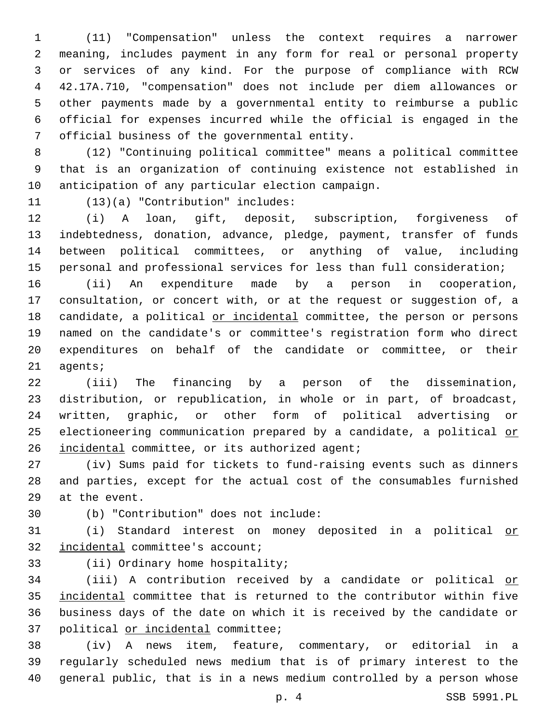(11) "Compensation" unless the context requires a narrower meaning, includes payment in any form for real or personal property or services of any kind. For the purpose of compliance with RCW 42.17A.710, "compensation" does not include per diem allowances or other payments made by a governmental entity to reimburse a public official for expenses incurred while the official is engaged in the 7 official business of the governmental entity.

 (12) "Continuing political committee" means a political committee that is an organization of continuing existence not established in 10 anticipation of any particular election campaign.

11 (13)(a) "Contribution" includes:

 (i) A loan, gift, deposit, subscription, forgiveness of indebtedness, donation, advance, pledge, payment, transfer of funds between political committees, or anything of value, including personal and professional services for less than full consideration;

 (ii) An expenditure made by a person in cooperation, consultation, or concert with, or at the request or suggestion of, a 18 candidate, a political or incidental committee, the person or persons named on the candidate's or committee's registration form who direct expenditures on behalf of the candidate or committee, or their 21 agents;

 (iii) The financing by a person of the dissemination, distribution, or republication, in whole or in part, of broadcast, written, graphic, or other form of political advertising or 25 electioneering communication prepared by a candidate, a political or 26 incidental committee, or its authorized agent;

 (iv) Sums paid for tickets to fund-raising events such as dinners and parties, except for the actual cost of the consumables furnished 29 at the event.

(b) "Contribution" does not include:30

 (i) Standard interest on money deposited in a political or 32 incidental committee's account;

33 (ii) Ordinary home hospitality;

 (iii) A contribution received by a candidate or political or incidental committee that is returned to the contributor within five business days of the date on which it is received by the candidate or 37 political or incidental committee;

 (iv) A news item, feature, commentary, or editorial in a regularly scheduled news medium that is of primary interest to the general public, that is in a news medium controlled by a person whose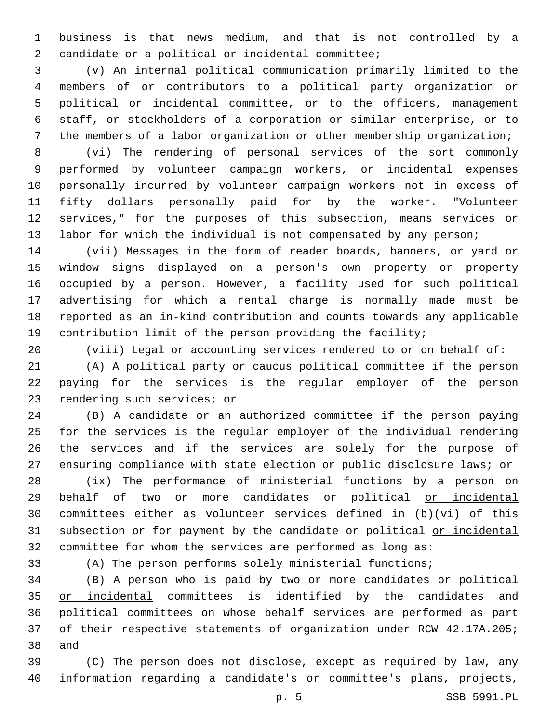business is that news medium, and that is not controlled by a 2 candidate or a political or incidental committee;

 (v) An internal political communication primarily limited to the members of or contributors to a political party organization or 5 political or incidental committee, or to the officers, management staff, or stockholders of a corporation or similar enterprise, or to the members of a labor organization or other membership organization;

 (vi) The rendering of personal services of the sort commonly performed by volunteer campaign workers, or incidental expenses personally incurred by volunteer campaign workers not in excess of fifty dollars personally paid for by the worker. "Volunteer services," for the purposes of this subsection, means services or labor for which the individual is not compensated by any person;

 (vii) Messages in the form of reader boards, banners, or yard or window signs displayed on a person's own property or property occupied by a person. However, a facility used for such political advertising for which a rental charge is normally made must be reported as an in-kind contribution and counts towards any applicable contribution limit of the person providing the facility;

(viii) Legal or accounting services rendered to or on behalf of:

 (A) A political party or caucus political committee if the person paying for the services is the regular employer of the person 23 rendering such services; or

 (B) A candidate or an authorized committee if the person paying for the services is the regular employer of the individual rendering the services and if the services are solely for the purpose of ensuring compliance with state election or public disclosure laws; or

 (ix) The performance of ministerial functions by a person on behalf of two or more candidates or political or incidental committees either as volunteer services defined in (b)(vi) of this 31 subsection or for payment by the candidate or political or incidental committee for whom the services are performed as long as:

(A) The person performs solely ministerial functions;

 (B) A person who is paid by two or more candidates or political 35 or incidental committees is identified by the candidates and political committees on whose behalf services are performed as part of their respective statements of organization under RCW 42.17A.205; 38 and

 (C) The person does not disclose, except as required by law, any information regarding a candidate's or committee's plans, projects,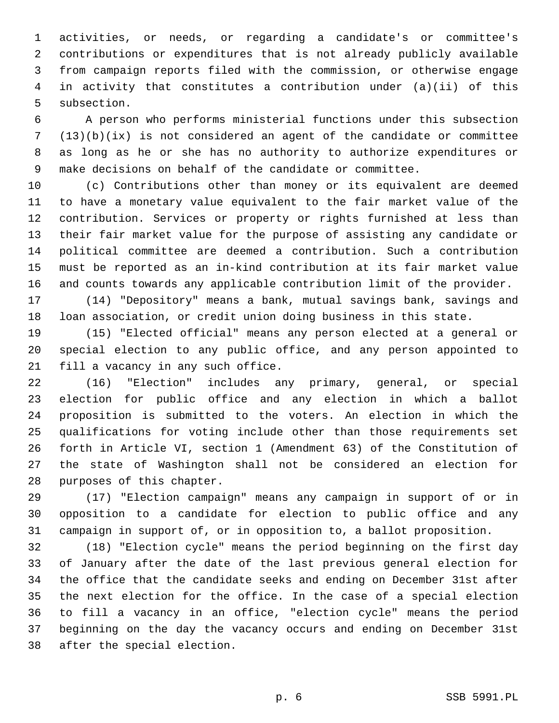activities, or needs, or regarding a candidate's or committee's contributions or expenditures that is not already publicly available from campaign reports filed with the commission, or otherwise engage in activity that constitutes a contribution under (a)(ii) of this 5 subsection.

 A person who performs ministerial functions under this subsection (13)(b)(ix) is not considered an agent of the candidate or committee as long as he or she has no authority to authorize expenditures or make decisions on behalf of the candidate or committee.

 (c) Contributions other than money or its equivalent are deemed to have a monetary value equivalent to the fair market value of the contribution. Services or property or rights furnished at less than their fair market value for the purpose of assisting any candidate or political committee are deemed a contribution. Such a contribution must be reported as an in-kind contribution at its fair market value and counts towards any applicable contribution limit of the provider.

 (14) "Depository" means a bank, mutual savings bank, savings and loan association, or credit union doing business in this state.

 (15) "Elected official" means any person elected at a general or special election to any public office, and any person appointed to 21 fill a vacancy in any such office.

 (16) "Election" includes any primary, general, or special election for public office and any election in which a ballot proposition is submitted to the voters. An election in which the qualifications for voting include other than those requirements set forth in Article VI, section 1 (Amendment 63) of the Constitution of the state of Washington shall not be considered an election for 28 purposes of this chapter.

 (17) "Election campaign" means any campaign in support of or in opposition to a candidate for election to public office and any campaign in support of, or in opposition to, a ballot proposition.

 (18) "Election cycle" means the period beginning on the first day of January after the date of the last previous general election for the office that the candidate seeks and ending on December 31st after the next election for the office. In the case of a special election to fill a vacancy in an office, "election cycle" means the period beginning on the day the vacancy occurs and ending on December 31st 38 after the special election.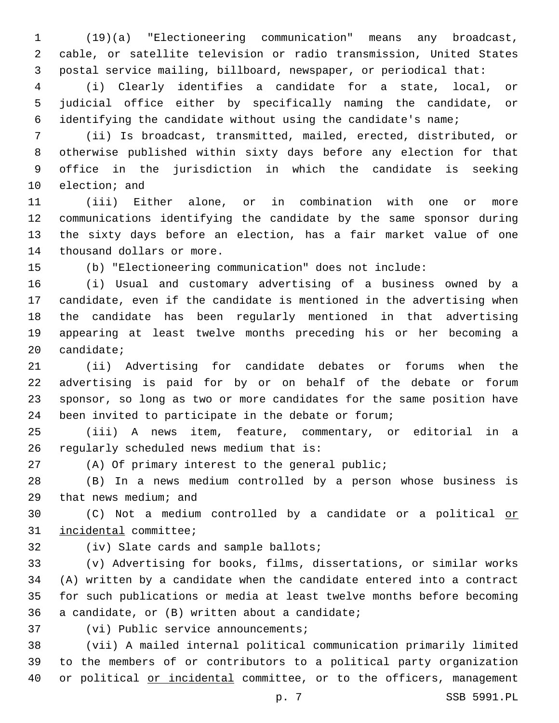(19)(a) "Electioneering communication" means any broadcast, cable, or satellite television or radio transmission, United States postal service mailing, billboard, newspaper, or periodical that:

 (i) Clearly identifies a candidate for a state, local, or judicial office either by specifically naming the candidate, or identifying the candidate without using the candidate's name;

 (ii) Is broadcast, transmitted, mailed, erected, distributed, or otherwise published within sixty days before any election for that office in the jurisdiction in which the candidate is seeking 10 election; and

 (iii) Either alone, or in combination with one or more communications identifying the candidate by the same sponsor during the sixty days before an election, has a fair market value of one 14 thousand dollars or more.

(b) "Electioneering communication" does not include:

 (i) Usual and customary advertising of a business owned by a candidate, even if the candidate is mentioned in the advertising when the candidate has been regularly mentioned in that advertising appearing at least twelve months preceding his or her becoming a candidate;

 (ii) Advertising for candidate debates or forums when the advertising is paid for by or on behalf of the debate or forum sponsor, so long as two or more candidates for the same position have been invited to participate in the debate or forum;

 (iii) A news item, feature, commentary, or editorial in a 26 regularly scheduled news medium that is:

(A) Of primary interest to the general public;

 (B) In a news medium controlled by a person whose business is 29 that news medium; and

 (C) Not a medium controlled by a candidate or a political or 31 incidental committee;

32 (iv) Slate cards and sample ballots;

 (v) Advertising for books, films, dissertations, or similar works (A) written by a candidate when the candidate entered into a contract for such publications or media at least twelve months before becoming 36 a candidate, or  $(B)$  written about a candidate;

37 (vi) Public service announcements;

 (vii) A mailed internal political communication primarily limited to the members of or contributors to a political party organization or political or incidental committee, or to the officers, management

p. 7 SSB 5991.PL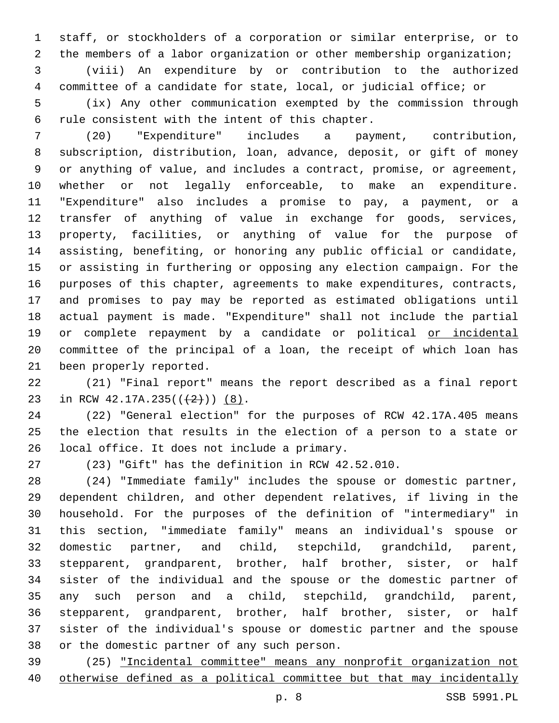staff, or stockholders of a corporation or similar enterprise, or to the members of a labor organization or other membership organization;

 (viii) An expenditure by or contribution to the authorized committee of a candidate for state, local, or judicial office; or

 (ix) Any other communication exempted by the commission through 6 rule consistent with the intent of this chapter.

 (20) "Expenditure" includes a payment, contribution, subscription, distribution, loan, advance, deposit, or gift of money or anything of value, and includes a contract, promise, or agreement, whether or not legally enforceable, to make an expenditure. "Expenditure" also includes a promise to pay, a payment, or a transfer of anything of value in exchange for goods, services, property, facilities, or anything of value for the purpose of assisting, benefiting, or honoring any public official or candidate, or assisting in furthering or opposing any election campaign. For the purposes of this chapter, agreements to make expenditures, contracts, and promises to pay may be reported as estimated obligations until actual payment is made. "Expenditure" shall not include the partial 19 or complete repayment by a candidate or political or incidental committee of the principal of a loan, the receipt of which loan has 21 been properly reported.

 (21) "Final report" means the report described as a final report 23 in RCW  $42.17A.235((+2))$  (8).

 (22) "General election" for the purposes of RCW 42.17A.405 means the election that results in the election of a person to a state or 26 local office. It does not include a primary.

(23) "Gift" has the definition in RCW 42.52.010.

 (24) "Immediate family" includes the spouse or domestic partner, dependent children, and other dependent relatives, if living in the household. For the purposes of the definition of "intermediary" in this section, "immediate family" means an individual's spouse or domestic partner, and child, stepchild, grandchild, parent, stepparent, grandparent, brother, half brother, sister, or half sister of the individual and the spouse or the domestic partner of any such person and a child, stepchild, grandchild, parent, stepparent, grandparent, brother, half brother, sister, or half sister of the individual's spouse or domestic partner and the spouse 38 or the domestic partner of any such person.

 (25) "Incidental committee" means any nonprofit organization not otherwise defined as a political committee but that may incidentally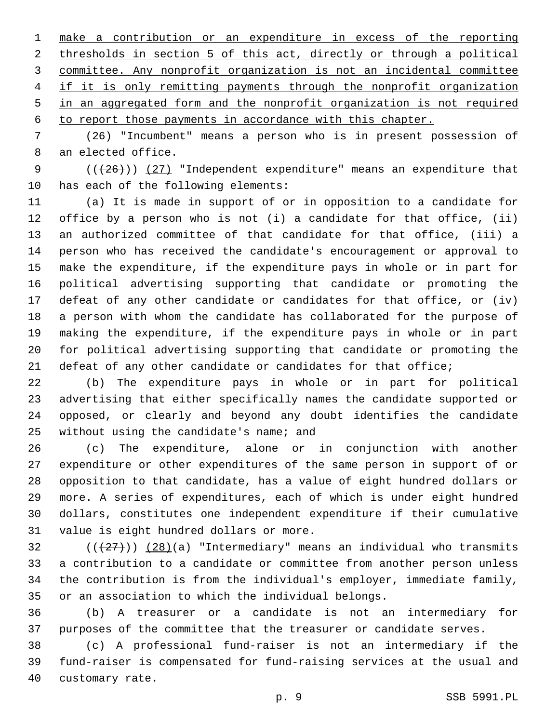make a contribution or an expenditure in excess of the reporting thresholds in section 5 of this act, directly or through a political committee. Any nonprofit organization is not an incidental committee if it is only remitting payments through the nonprofit organization in an aggregated form and the nonprofit organization is not required to report those payments in accordance with this chapter.

 (26) "Incumbent" means a person who is in present possession of 8 an elected office.

9  $((+26))$   $(27)$  "Independent expenditure" means an expenditure that 10 has each of the following elements:

 (a) It is made in support of or in opposition to a candidate for office by a person who is not (i) a candidate for that office, (ii) an authorized committee of that candidate for that office, (iii) a person who has received the candidate's encouragement or approval to make the expenditure, if the expenditure pays in whole or in part for political advertising supporting that candidate or promoting the defeat of any other candidate or candidates for that office, or (iv) a person with whom the candidate has collaborated for the purpose of making the expenditure, if the expenditure pays in whole or in part for political advertising supporting that candidate or promoting the defeat of any other candidate or candidates for that office;

 (b) The expenditure pays in whole or in part for political advertising that either specifically names the candidate supported or opposed, or clearly and beyond any doubt identifies the candidate 25 without using the candidate's name; and

 (c) The expenditure, alone or in conjunction with another expenditure or other expenditures of the same person in support of or opposition to that candidate, has a value of eight hundred dollars or more. A series of expenditures, each of which is under eight hundred dollars, constitutes one independent expenditure if their cumulative 31 value is eight hundred dollars or more.

 ( $(\frac{27}{12})$ )  $(28)(a)$  "Intermediary" means an individual who transmits a contribution to a candidate or committee from another person unless the contribution is from the individual's employer, immediate family, or an association to which the individual belongs.

 (b) A treasurer or a candidate is not an intermediary for purposes of the committee that the treasurer or candidate serves.

 (c) A professional fund-raiser is not an intermediary if the fund-raiser is compensated for fund-raising services at the usual and 40 customary rate.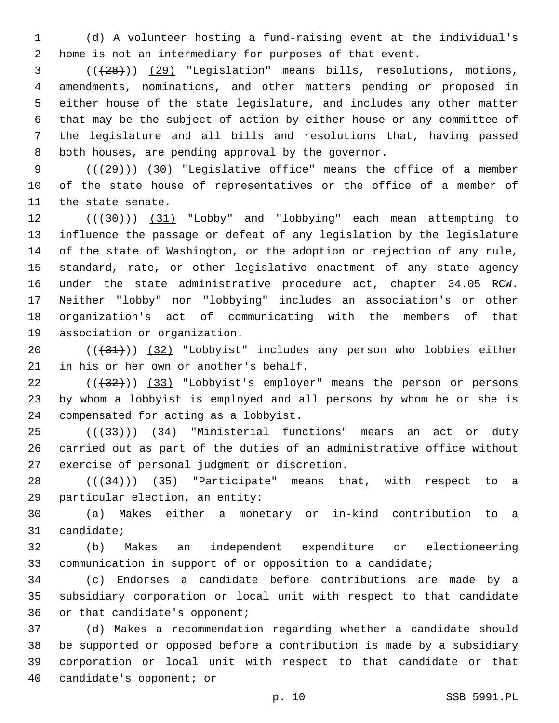(d) A volunteer hosting a fund-raising event at the individual's home is not an intermediary for purposes of that event.

 (((28))) (29) "Legislation" means bills, resolutions, motions, amendments, nominations, and other matters pending or proposed in either house of the state legislature, and includes any other matter that may be the subject of action by either house or any committee of the legislature and all bills and resolutions that, having passed 8 both houses, are pending approval by the governor.

9 (( $(29)$ )) (30) "Legislative office" means the office of a member of the state house of representatives or the office of a member of 11 the state senate.

12 (( $(30)$ ) (31) "Lobby" and "lobbying" each mean attempting to influence the passage or defeat of any legislation by the legislature of the state of Washington, or the adoption or rejection of any rule, standard, rate, or other legislative enactment of any state agency under the state administrative procedure act, chapter 34.05 RCW. Neither "lobby" nor "lobbying" includes an association's or other organization's act of communicating with the members of that 19 association or organization.

20 (( $\left(\frac{31}{1}\right)$ ) (32) "Lobbyist" includes any person who lobbies either 21 in his or her own or another's behalf.

 $((+32))$  (33) "Lobbyist's employer" means the person or persons by whom a lobbyist is employed and all persons by whom he or she is 24 compensated for acting as a lobbyist.

25 (( $(34)$  "Ministerial functions" means an act or duty carried out as part of the duties of an administrative office without 27 exercise of personal judgment or discretion.

 ( $(\overline{34})$ ) (35) "Participate" means that, with respect to a 29 particular election, an entity:

 (a) Makes either a monetary or in-kind contribution to a 31 candidate;

 (b) Makes an independent expenditure or electioneering communication in support of or opposition to a candidate;

 (c) Endorses a candidate before contributions are made by a subsidiary corporation or local unit with respect to that candidate 36 or that candidate's opponent;

 (d) Makes a recommendation regarding whether a candidate should be supported or opposed before a contribution is made by a subsidiary corporation or local unit with respect to that candidate or that 40 candidate's opponent; or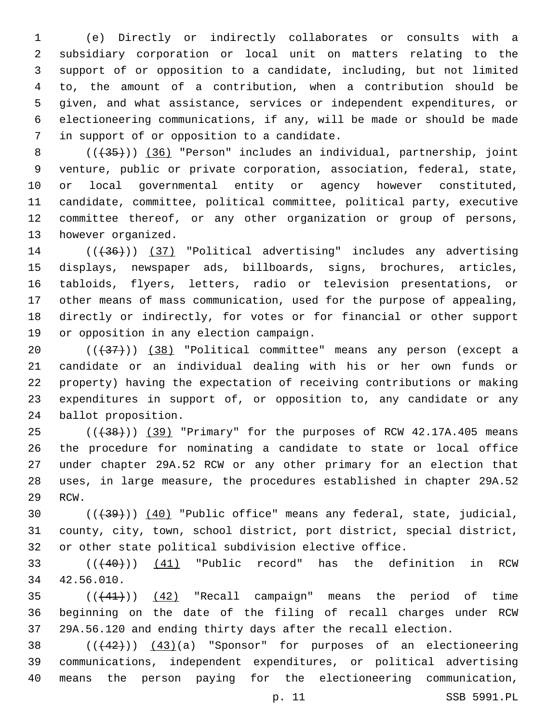(e) Directly or indirectly collaborates or consults with a subsidiary corporation or local unit on matters relating to the support of or opposition to a candidate, including, but not limited to, the amount of a contribution, when a contribution should be given, and what assistance, services or independent expenditures, or electioneering communications, if any, will be made or should be made 7 in support of or opposition to a candidate.

8 (( $(35)$ )) (36) "Person" includes an individual, partnership, joint venture, public or private corporation, association, federal, state, or local governmental entity or agency however constituted, candidate, committee, political committee, political party, executive committee thereof, or any other organization or group of persons, 13 however organized.

14 (( $(36)$ )) (37) "Political advertising" includes any advertising displays, newspaper ads, billboards, signs, brochures, articles, tabloids, flyers, letters, radio or television presentations, or other means of mass communication, used for the purpose of appealing, directly or indirectly, for votes or for financial or other support 19 or opposition in any election campaign.

20 (( $\left(\frac{37}{13}\right)$ ) (38) "Political committee" means any person (except a candidate or an individual dealing with his or her own funds or property) having the expectation of receiving contributions or making expenditures in support of, or opposition to, any candidate or any 24 ballot proposition.

25 (( $+38$ ))) (39) "Primary" for the purposes of RCW 42.17A.405 means the procedure for nominating a candidate to state or local office under chapter 29A.52 RCW or any other primary for an election that uses, in large measure, the procedures established in chapter 29A.52 29 RCW.

30 (( $\left(\frac{39}{10}\right)$  (40) "Public office" means any federal, state, judicial, county, city, town, school district, port district, special district, or other state political subdivision elective office.

33 (( $(40)$ )) (41) "Public record" has the definition in RCW 42.56.010.34

 $((441))$   $(42)$  "Recall campaign" means the period of time beginning on the date of the filing of recall charges under RCW 29A.56.120 and ending thirty days after the recall election.

38  $((42))$   $(43)(a)$  "Sponsor" for purposes of an electioneering communications, independent expenditures, or political advertising means the person paying for the electioneering communication,

p. 11 SSB 5991.PL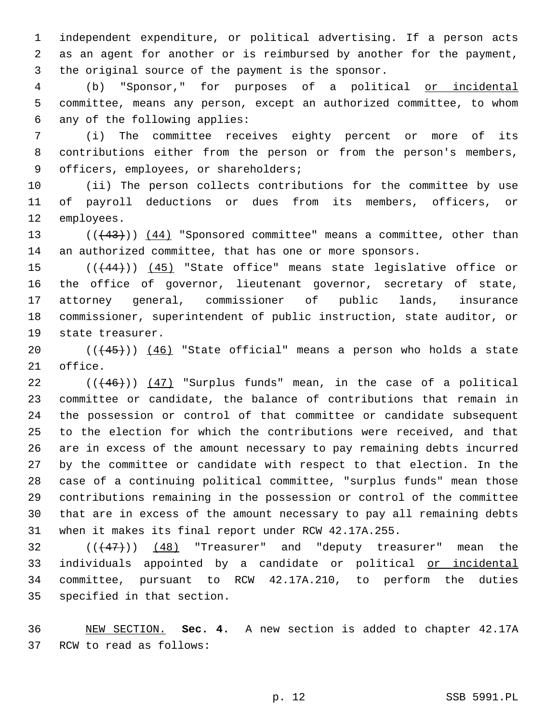independent expenditure, or political advertising. If a person acts as an agent for another or is reimbursed by another for the payment, 3 the original source of the payment is the sponsor.

 (b) "Sponsor," for purposes of a political or incidental committee, means any person, except an authorized committee, to whom 6 any of the following applies:

 (i) The committee receives eighty percent or more of its contributions either from the person or from the person's members, 9 officers, employees, or shareholders;

 (ii) The person collects contributions for the committee by use of payroll deductions or dues from its members, officers, or 12 employees.

13 (( $(43)$ )) (44) "Sponsored committee" means a committee, other than an authorized committee, that has one or more sponsors.

15 (( $(444)$ )) (45) "State office" means state legislative office or the office of governor, lieutenant governor, secretary of state, attorney general, commissioner of public lands, insurance commissioner, superintendent of public instruction, state auditor, or 19 state treasurer.

 $((45))$   $(46)$  "State official" means a person who holds a state 21 office.

 ( $(446)$ ))  $(47)$  "Surplus funds" mean, in the case of a political committee or candidate, the balance of contributions that remain in the possession or control of that committee or candidate subsequent to the election for which the contributions were received, and that are in excess of the amount necessary to pay remaining debts incurred by the committee or candidate with respect to that election. In the case of a continuing political committee, "surplus funds" mean those contributions remaining in the possession or control of the committee that are in excess of the amount necessary to pay all remaining debts when it makes its final report under RCW 42.17A.255.

  $((+47))$   $(48)$  "Treasurer" and "deputy treasurer" mean the 33 individuals appointed by a candidate or political or incidental committee, pursuant to RCW 42.17A.210, to perform the duties 35 specified in that section.

 NEW SECTION. **Sec. 4.** A new section is added to chapter 42.17A 37 RCW to read as follows: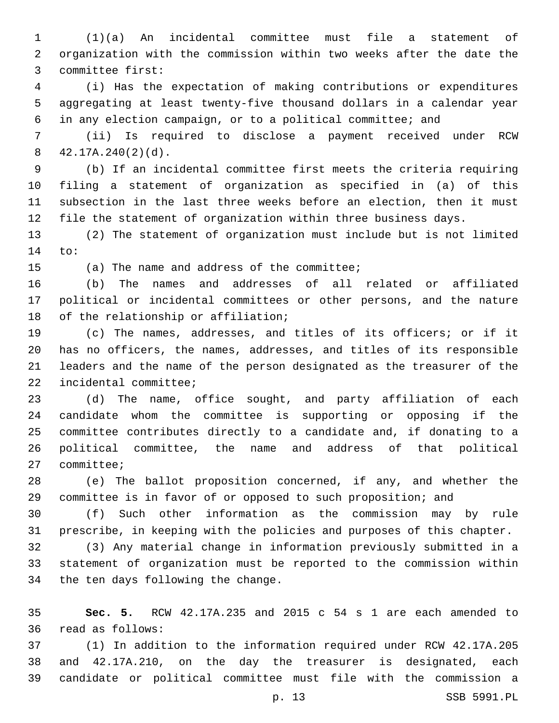(1)(a) An incidental committee must file a statement of organization with the commission within two weeks after the date the 3 committee first:

 (i) Has the expectation of making contributions or expenditures aggregating at least twenty-five thousand dollars in a calendar year in any election campaign, or to a political committee; and

 (ii) Is required to disclose a payment received under RCW  $42.17A.240(2)(d)$ .

 (b) If an incidental committee first meets the criteria requiring filing a statement of organization as specified in (a) of this subsection in the last three weeks before an election, then it must file the statement of organization within three business days.

 (2) The statement of organization must include but is not limited 14 to:

15 (a) The name and address of the committee;

 (b) The names and addresses of all related or affiliated political or incidental committees or other persons, and the nature 18 of the relationship or affiliation;

 (c) The names, addresses, and titles of its officers; or if it has no officers, the names, addresses, and titles of its responsible leaders and the name of the person designated as the treasurer of the 22 incidental committee;

 (d) The name, office sought, and party affiliation of each candidate whom the committee is supporting or opposing if the committee contributes directly to a candidate and, if donating to a political committee, the name and address of that political 27 committee;

 (e) The ballot proposition concerned, if any, and whether the committee is in favor of or opposed to such proposition; and

 (f) Such other information as the commission may by rule prescribe, in keeping with the policies and purposes of this chapter.

 (3) Any material change in information previously submitted in a statement of organization must be reported to the commission within 34 the ten days following the change.

 **Sec. 5.** RCW 42.17A.235 and 2015 c 54 s 1 are each amended to read as follows:36

 (1) In addition to the information required under RCW 42.17A.205 and 42.17A.210, on the day the treasurer is designated, each candidate or political committee must file with the commission a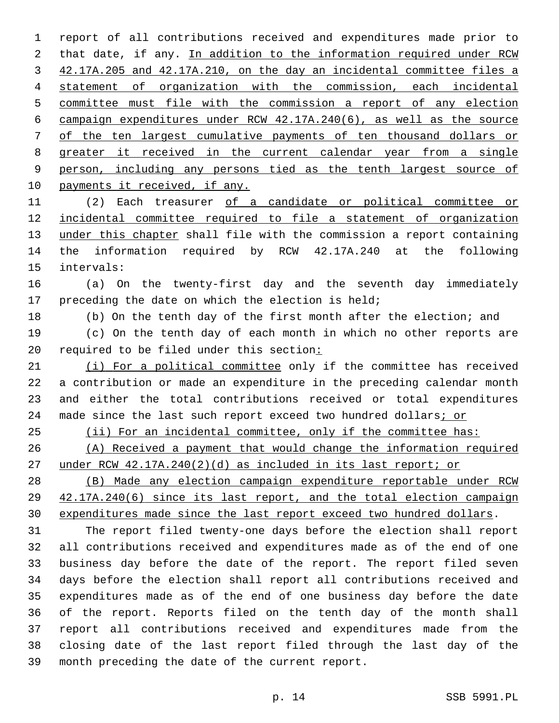report of all contributions received and expenditures made prior to that date, if any. In addition to the information required under RCW 42.17A.205 and 42.17A.210, on the day an incidental committee files a statement of organization with the commission, each incidental committee must file with the commission a report of any election campaign expenditures under RCW 42.17A.240(6), as well as the source of the ten largest cumulative payments of ten thousand dollars or greater it received in the current calendar year from a single person, including any persons tied as the tenth largest source of 10 payments it received, if any.

 (2) Each treasurer of a candidate or political committee or incidental committee required to file a statement of organization under this chapter shall file with the commission a report containing the information required by RCW 42.17A.240 at the following 15 intervals:

 (a) On the twenty-first day and the seventh day immediately 17 preceding the date on which the election is held;

(b) On the tenth day of the first month after the election; and

 (c) On the tenth day of each month in which no other reports are required to be filed under this section:

 (i) For a political committee only if the committee has received a contribution or made an expenditure in the preceding calendar month and either the total contributions received or total expenditures 24 made since the last such report exceed two hundred dollars; or

(ii) For an incidental committee, only if the committee has:

 (A) Received a payment that would change the information required under RCW 42.17A.240(2)(d) as included in its last report; or

 (B) Made any election campaign expenditure reportable under RCW 42.17A.240(6) since its last report, and the total election campaign expenditures made since the last report exceed two hundred dollars.

 The report filed twenty-one days before the election shall report all contributions received and expenditures made as of the end of one business day before the date of the report. The report filed seven days before the election shall report all contributions received and expenditures made as of the end of one business day before the date of the report. Reports filed on the tenth day of the month shall report all contributions received and expenditures made from the closing date of the last report filed through the last day of the 39 month preceding the date of the current report.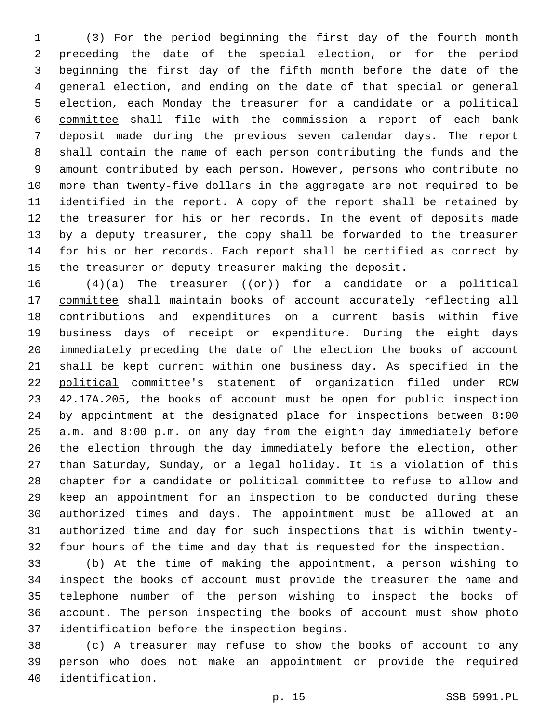(3) For the period beginning the first day of the fourth month preceding the date of the special election, or for the period beginning the first day of the fifth month before the date of the general election, and ending on the date of that special or general election, each Monday the treasurer for a candidate or a political committee shall file with the commission a report of each bank deposit made during the previous seven calendar days. The report shall contain the name of each person contributing the funds and the amount contributed by each person. However, persons who contribute no more than twenty-five dollars in the aggregate are not required to be identified in the report. A copy of the report shall be retained by the treasurer for his or her records. In the event of deposits made by a deputy treasurer, the copy shall be forwarded to the treasurer for his or her records. Each report shall be certified as correct by the treasurer or deputy treasurer making the deposit.

 $(4)(a)$  The treasurer  $((e \rightarrow e))$  for a candidate or a political committee shall maintain books of account accurately reflecting all contributions and expenditures on a current basis within five business days of receipt or expenditure. During the eight days immediately preceding the date of the election the books of account shall be kept current within one business day. As specified in the political committee's statement of organization filed under RCW 42.17A.205, the books of account must be open for public inspection by appointment at the designated place for inspections between 8:00 a.m. and 8:00 p.m. on any day from the eighth day immediately before the election through the day immediately before the election, other than Saturday, Sunday, or a legal holiday. It is a violation of this chapter for a candidate or political committee to refuse to allow and keep an appointment for an inspection to be conducted during these authorized times and days. The appointment must be allowed at an authorized time and day for such inspections that is within twenty-four hours of the time and day that is requested for the inspection.

 (b) At the time of making the appointment, a person wishing to inspect the books of account must provide the treasurer the name and telephone number of the person wishing to inspect the books of account. The person inspecting the books of account must show photo 37 identification before the inspection begins.

 (c) A treasurer may refuse to show the books of account to any person who does not make an appointment or provide the required 40 identification.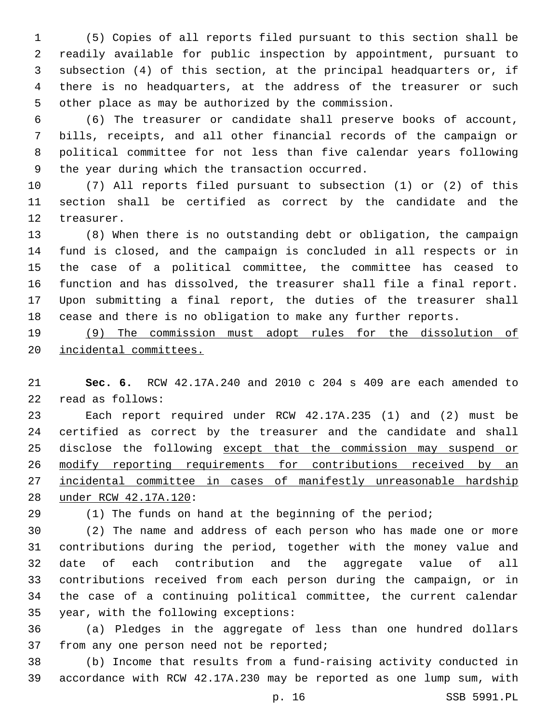(5) Copies of all reports filed pursuant to this section shall be readily available for public inspection by appointment, pursuant to subsection (4) of this section, at the principal headquarters or, if there is no headquarters, at the address of the treasurer or such other place as may be authorized by the commission.

 (6) The treasurer or candidate shall preserve books of account, bills, receipts, and all other financial records of the campaign or political committee for not less than five calendar years following 9 the year during which the transaction occurred.

 (7) All reports filed pursuant to subsection (1) or (2) of this section shall be certified as correct by the candidate and the 12 treasurer.

 (8) When there is no outstanding debt or obligation, the campaign fund is closed, and the campaign is concluded in all respects or in the case of a political committee, the committee has ceased to function and has dissolved, the treasurer shall file a final report. Upon submitting a final report, the duties of the treasurer shall cease and there is no obligation to make any further reports.

 (9) The commission must adopt rules for the dissolution of incidental committees.

 **Sec. 6.** RCW 42.17A.240 and 2010 c 204 s 409 are each amended to read as follows:22

 Each report required under RCW 42.17A.235 (1) and (2) must be certified as correct by the treasurer and the candidate and shall 25 disclose the following except that the commission may suspend or 26 modify reporting requirements for contributions received by an incidental committee in cases of manifestly unreasonable hardship under RCW 42.17A.120:28

(1) The funds on hand at the beginning of the period;

 (2) The name and address of each person who has made one or more contributions during the period, together with the money value and date of each contribution and the aggregate value of all contributions received from each person during the campaign, or in the case of a continuing political committee, the current calendar 35 year, with the following exceptions:

 (a) Pledges in the aggregate of less than one hundred dollars 37 from any one person need not be reported;

 (b) Income that results from a fund-raising activity conducted in accordance with RCW 42.17A.230 may be reported as one lump sum, with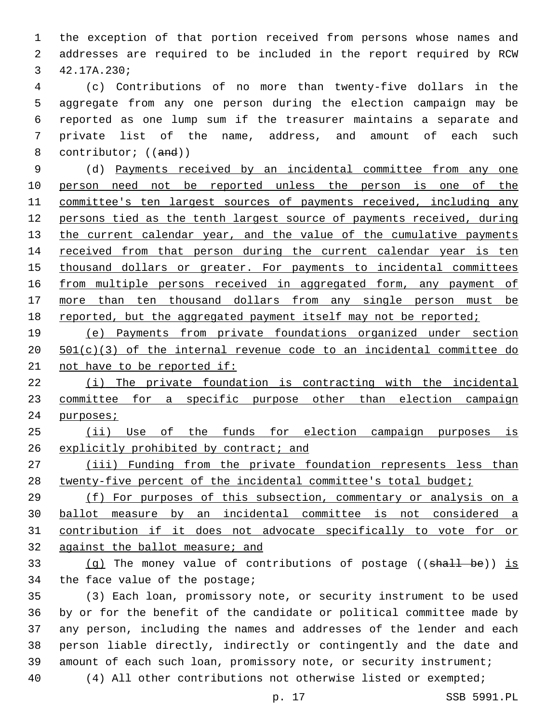the exception of that portion received from persons whose names and addresses are required to be included in the report required by RCW 3 42.17A.230;

 (c) Contributions of no more than twenty-five dollars in the aggregate from any one person during the election campaign may be reported as one lump sum if the treasurer maintains a separate and private list of the name, address, and amount of each such 8 contributor; ((and))

 (d) Payments received by an incidental committee from any one person need not be reported unless the person is one of the committee's ten largest sources of payments received, including any persons tied as the tenth largest source of payments received, during 13 the current calendar year, and the value of the cumulative payments 14 received from that person during the current calendar year is ten thousand dollars or greater. For payments to incidental committees 16 from multiple persons received in aggregated form, any payment of more than ten thousand dollars from any single person must be 18 reported, but the aggregated payment itself may not be reported;

 (e) Payments from private foundations organized under section 501(c)(3) of the internal revenue code to an incidental committee do 21 not have to be reported if:

 (i) The private foundation is contracting with the incidental committee for a specific purpose other than election campaign 24 purposes;

 (ii) Use of the funds for election campaign purposes is 26 explicitly prohibited by contract; and

 (iii) Funding from the private foundation represents less than 28 twenty-five percent of the incidental committee's total budget;

 (f) For purposes of this subsection, commentary or analysis on a ballot measure by an incidental committee is not considered a contribution if it does not advocate specifically to vote for or against the ballot measure; and

33 (q) The money value of contributions of postage  $((\text{shall } b\text{e}))$  is 34 the face value of the postage;

 (3) Each loan, promissory note, or security instrument to be used by or for the benefit of the candidate or political committee made by any person, including the names and addresses of the lender and each person liable directly, indirectly or contingently and the date and amount of each such loan, promissory note, or security instrument; (4) All other contributions not otherwise listed or exempted;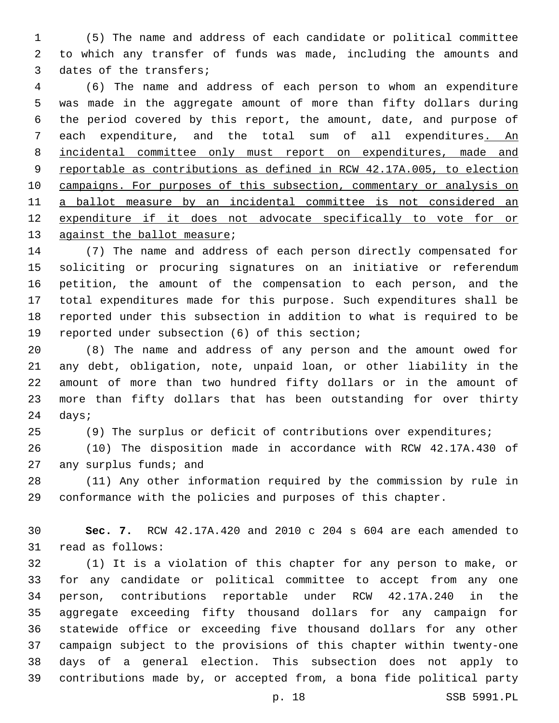(5) The name and address of each candidate or political committee to which any transfer of funds was made, including the amounts and 3 dates of the transfers;

 (6) The name and address of each person to whom an expenditure was made in the aggregate amount of more than fifty dollars during the period covered by this report, the amount, date, and purpose of each expenditure, and the total sum of all expenditures. An incidental committee only must report on expenditures, made and reportable as contributions as defined in RCW 42.17A.005, to election campaigns. For purposes of this subsection, commentary or analysis on a ballot measure by an incidental committee is not considered an expenditure if it does not advocate specifically to vote for or 13 against the ballot measure;

 (7) The name and address of each person directly compensated for soliciting or procuring signatures on an initiative or referendum petition, the amount of the compensation to each person, and the total expenditures made for this purpose. Such expenditures shall be reported under this subsection in addition to what is required to be 19 reported under subsection (6) of this section;

 (8) The name and address of any person and the amount owed for any debt, obligation, note, unpaid loan, or other liability in the amount of more than two hundred fifty dollars or in the amount of more than fifty dollars that has been outstanding for over thirty 24 days;

(9) The surplus or deficit of contributions over expenditures;

 (10) The disposition made in accordance with RCW 42.17A.430 of 27 any surplus funds; and

 (11) Any other information required by the commission by rule in conformance with the policies and purposes of this chapter.

 **Sec. 7.** RCW 42.17A.420 and 2010 c 204 s 604 are each amended to 31 read as follows:

 (1) It is a violation of this chapter for any person to make, or for any candidate or political committee to accept from any one person, contributions reportable under RCW 42.17A.240 in the aggregate exceeding fifty thousand dollars for any campaign for statewide office or exceeding five thousand dollars for any other campaign subject to the provisions of this chapter within twenty-one days of a general election. This subsection does not apply to contributions made by, or accepted from, a bona fide political party